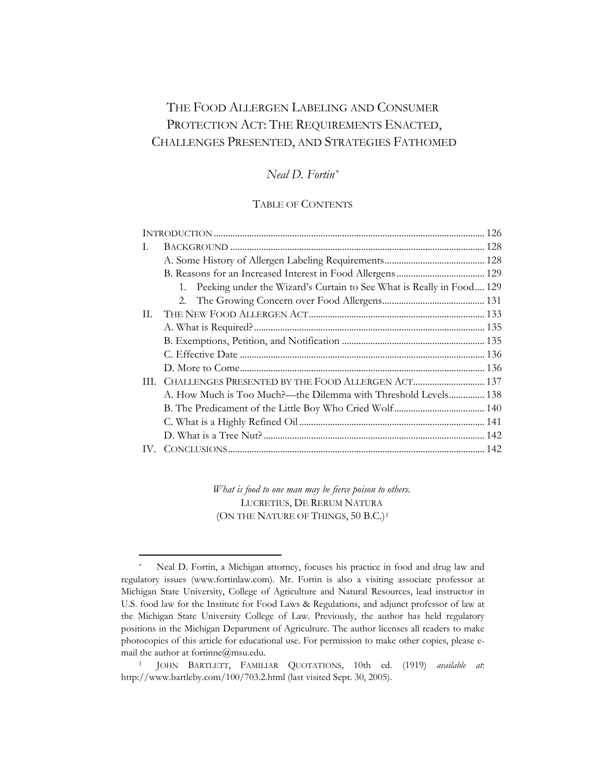# THE FOOD ALLERGEN LABELING AND CONSUMER PROTECTION ACT: THE REQUIREMENTS ENACTED, CHALLENGES PRESENTED, AND STRATEGIES FATHOMED

# *Neal D. Fortin[\\*](#page-0-0)*

# TABLE OF CONTENTS

| I.  |                                                                         |  |
|-----|-------------------------------------------------------------------------|--|
|     |                                                                         |  |
|     |                                                                         |  |
|     | 1. Peeking under the Wizard's Curtain to See What is Really in Food 129 |  |
|     |                                                                         |  |
| II. |                                                                         |  |
|     |                                                                         |  |
|     |                                                                         |  |
|     |                                                                         |  |
|     |                                                                         |  |
|     |                                                                         |  |
|     | A. How Much is Too Much?—the Dilemma with Threshold Levels 138          |  |
|     |                                                                         |  |
|     |                                                                         |  |
|     |                                                                         |  |
| IV. |                                                                         |  |

*What is food to one man may be fierce poison to others.*  LUCRETIUS, DE RERUM NATURA (ON THE NATURE OF THINGS, 50 B.C.)<sup>[1](#page-0-1)</sup>

<span id="page-0-0"></span>Neal D. Fortin, a Michigan attorney, focuses his practice in food and drug law and regulatory issues (www.fortinlaw.com). Mr. Fortin is also a visiting associate professor at Michigan State University, College of Agriculture and Natural Resources, lead instructor in U.S. food law for the Institute for Food Laws & Regulations, and adjunct professor of law at the Michigan State University College of Law. Previously, the author has held regulatory positions in the Michigan Department of Agriculture. The author licenses all readers to make photocopies of this article for educational use. For permission to make other copies, please email the author at fortinne@msu.edu. 1 JOHN BARTLETT, FAMILIAR QUOTATIONS, 10th ed. (1919) *available at*:

<span id="page-0-1"></span>http://www.bartleby.com/100/703.2.html (last visited Sept. 30, 2005).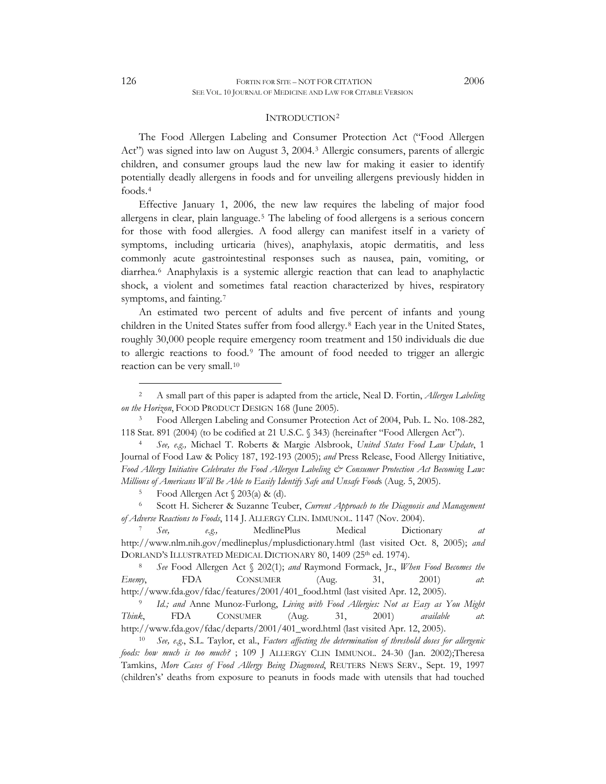#### INTRODUCTION[2](#page-1-1)

<span id="page-1-0"></span>The Food Allergen Labeling and Consumer Protection Act ("Food Allergen Act") was signed into law on August 3, 2004.[3](#page-1-2) Allergic consumers, parents of allergic children, and consumer groups laud the new law for making it easier to identify potentially deadly allergens in foods and for unveiling allergens previously hidden in foods.[4](#page-1-3)

Effective January 1, 2006, the new law requires the labeling of major food allergens in clear, plain language.[5](#page-1-4) The labeling of food allergens is a serious concern for those with food allergies. A food allergy can manifest itself in a variety of symptoms, including urticaria (hives), anaphylaxis, atopic dermatitis, and less commonly acute gastrointestinal responses such as nausea, pain, vomiting, or diarrhea.[6](#page-1-5) Anaphylaxis is a systemic allergic reaction that can lead to anaphylactic shock, a violent and sometimes fatal reaction characterized by hives, respiratory symptoms, and fainting.<sup>[7](#page-1-6)</sup>

An estimated two percent of adults and five percent of infants and young children in the United States suffer from food allergy.[8](#page-1-7) Each year in the United States, roughly 30,000 people require emergency room treatment and 150 individuals die due to allergic reactions to food.[9](#page-1-8) The amount of food needed to trigger an allergic reaction can be very small.[10](#page-1-9)

<span id="page-1-3"></span><span id="page-1-2"></span>118 Stat. 891 (2004) (to be codified at 21 U.S.C. § 343) (hereinafter "Food Allergen Act"). 4 *See, e.g.,* Michael T. Roberts & Margie Alsbrook, *United States Food Law Update*, 1 Journal of Food Law & Policy 187, 192-193 (2005); *and* Press Release, Food Allergy Initiative, *Food Allergy Initiative Celebrates the Food Allergen Labeling*  $\dot{\mathcal{C}}$  *Consumer Protection Act Becoming Law: Millions of Americans Will Be Able to Easily Identify Safe and Unsafe Foods* (Aug. 5, 2005).<br><sup>5</sup> Food Allergen Act § 203(a) & (d).

<span id="page-1-5"></span><span id="page-1-4"></span>6 Scott H. Sicherer & Suzanne Teuber, *Current Approach to the Diagnosis and Management of Adverse Reactions to Foods*, 114 J. ALLERGY CLIN. IMMUNOL. 1147 (Nov. 2004).<br><sup>7</sup> *See,* e.g., MedlinePlus Medical Dictionary *at* 

<span id="page-1-6"></span>http://www.nlm.nih.gov/medlineplus/mplusdictionary.html (last visited Oct. 8, 2005); *and*  DORLAND'S ILLUSTRATED MEDICAL DICTIONARY 80, 1409 (25<sup>th</sup> ed. 1974).<br><sup>8</sup> *See* Food Allergen Act § 202(1); *and* Raymond Formack, Jr., *When Food Becomes the* 

<span id="page-1-7"></span>*Enemy*, FDA CONSUMER (Aug. 31, 2001) *at*:

<span id="page-1-8"></span>http://www.fda.gov/fdac/features/2001/401\_food.html (last visited Apr. 12, 2005). 9 *Id.; and* Anne Munoz-Furlong, *Living with Food Allergies: Not as Easy as You Might Think*, FDA CONSUMER (Aug. 31, 2001) *available* 

<span id="page-1-9"></span>http://www.fda.gov/fdac/departs/2001/401\_word.html (last visited Apr. 12, 2005). 10 *See, e.g*., S.L. Taylor, et al., *Factors affecting the determination of threshold doses for allergenic foods: how much is too much?* ; 109 J ALLERGY CLIN IMMUNOL. 24-30 (Jan. 2002);Theresa Tamkins, *More Cases of Food Allergy Being Diagnosed*, REUTERS NEWS SERV., Sept. 19, 1997 (children's' deaths from exposure to peanuts in foods made with utensils that had touched

<span id="page-1-1"></span><sup>2</sup> A small part of this paper is adapted from the article, Neal D. Fortin, *Allergen Labeling on the Horizon*, FOOD PRODUCT DESIGN 168 (June 2005). 3 Food Allergen Labeling and Consumer Protection Act of 2004, Pub. L. No. 108-282,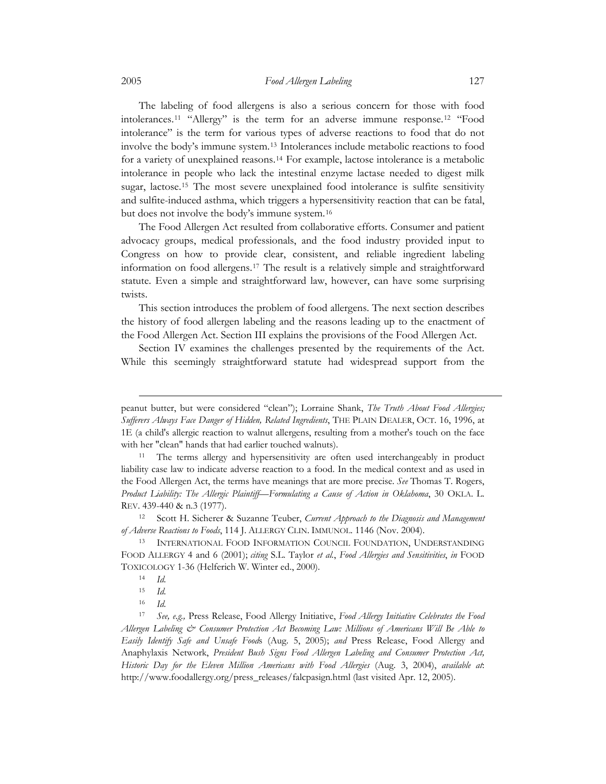The labeling of food allergens is also a serious concern for those with food intolerances.[11](#page-2-0) "Allergy" is the term for an adverse immune response.[12](#page-2-1) "Food intolerance" is the term for various types of adverse reactions to food that do not involve the body's immune system.[13](#page-2-2) Intolerances include metabolic reactions to food for a variety of unexplained reasons.[14](#page-2-3) For example, lactose intolerance is a metabolic intolerance in people who lack the intestinal enzyme lactase needed to digest milk sugar, lactose.[15](#page-2-4) The most severe unexplained food intolerance is sulfite sensitivity and sulfite-induced asthma, which triggers a hypersensitivity reaction that can be fatal, but does not involve the body's immune system.[16](#page-2-5)

The Food Allergen Act resulted from collaborative efforts. Consumer and patient advocacy groups, medical professionals, and the food industry provided input to Congress on how to provide clear, consistent, and reliable ingredient labeling information on food allergens.[17](#page-2-6) The result is a relatively simple and straightforward statute. Even a simple and straightforward law, however, can have some surprising twists.

This section introduces the problem of food allergens. The next section describes the history of food allergen labeling and the reasons leading up to the enactment of the Food Allergen Act. Section III explains the provisions of the Food Allergen Act.

Section IV examines the challenges presented by the requirements of the Act. While this seemingly straightforward statute had widespread support from the

peanut butter, but were considered "clean"); Lorraine Shank, *The Truth About Food Allergies; Sufferers Always Face Danger of Hidden, Related Ingredients*, THE PLAIN DEALER, OCT. 16, 1996, at 1E (a child's allergic reaction to walnut allergens, resulting from a mother's touch on the face with her "clean" hands that had earlier touched walnuts).<br><sup>11</sup> The terms allergy and hypersensitivity are often used interchangeably in product

<span id="page-2-0"></span>liability case law to indicate adverse reaction to a food. In the medical context and as used in the Food Allergen Act, the terms have meanings that are more precise. *See* Thomas T. Rogers, *Product Liability: The Allergic Plaintiff—Formulating a Cause of Action in Oklahoma*, 30 OKLA. L. REV. 439-440 & n.3 (1977).

<span id="page-2-1"></span><sup>12</sup> Scott H. Sicherer & Suzanne Teuber, *Current Approach to the Diagnosis and Management of Adverse Reactions to Foods*, 114 J. ALLERGY CLIN. IMMUNOL. 1146 (Nov. 2004).<br><sup>13</sup> INTERNATIONAL FOOD INFORMATION COUNCIL FOUNDATION, UNDERSTANDING

<span id="page-2-2"></span>FOOD ALLERGY 4 and 6 (2001); *citing* S.L. Taylor *et al.*, *Food Allergies and Sensitivities*, *in* FOOD TOXICOLOGY 1-36 (Helferich W. Winter ed., 2000). 14 *Id.*

<sup>15</sup> *Id.*

<sup>16</sup> *Id.*

<span id="page-2-6"></span><span id="page-2-5"></span><span id="page-2-4"></span><span id="page-2-3"></span><sup>17</sup> *See, e.g.,* Press Release, Food Allergy Initiative, *Food Allergy Initiative Celebrates the Food Allergen Labeling & Consumer Protection Act Becoming Law: Millions of Americans Will Be Able to Easily Identify Safe and Unsafe Food*s (Aug. 5, 2005); *and* Press Release, Food Allergy and Anaphylaxis Network, *President Bush Signs Food Allergen Labeling and Consumer Protection Act, Historic Day for the Eleven Million Americans with Food Allergies* (Aug. 3, 2004), *available at*: http://www.foodallergy.org/press\_releases/falcpasign.html (last visited Apr. 12, 2005).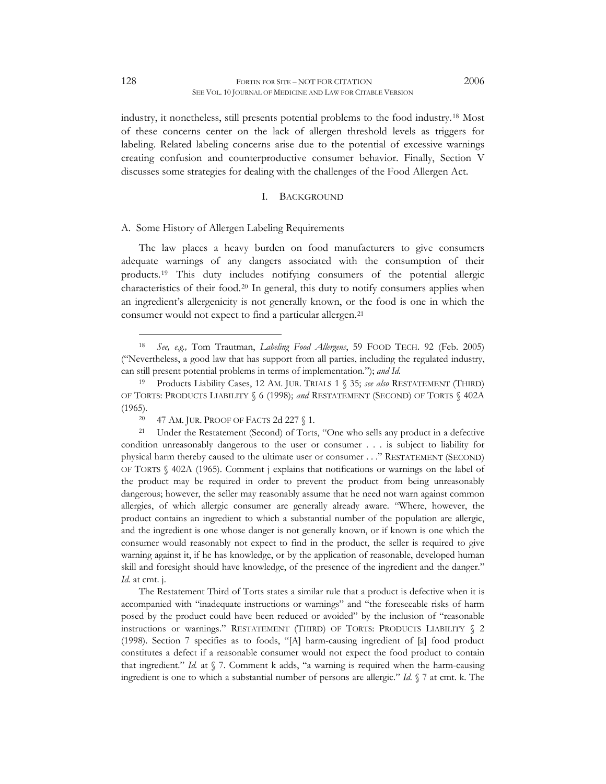<span id="page-3-0"></span>industry, it nonetheless, still presents potential problems to the food industry.[18](#page-3-1) Most of these concerns center on the lack of allergen threshold levels as triggers for labeling. Related labeling concerns arise due to the potential of excessive warnings creating confusion and counterproductive consumer behavior. Finally, Section V discusses some strategies for dealing with the challenges of the Food Allergen Act.

### I. BACKGROUND

# A. Some History of Allergen Labeling Requirements

The law places a heavy burden on food manufacturers to give consumers adequate warnings of any dangers associated with the consumption of their products.[19](#page-3-2) This duty includes notifying consumers of the potential allergic characteristics of their food.[20](#page-3-3) In general, this duty to notify consumers applies when an ingredient's allergenicity is not generally known, or the food is one in which the consumer would not expect to find a particular allergen.[21](#page-3-4)

The Restatement Third of Torts states a similar rule that a product is defective when it is accompanied with "inadequate instructions or warnings" and "the foreseeable risks of harm posed by the product could have been reduced or avoided" by the inclusion of "reasonable instructions or warnings." RESTATEMENT (THIRD) OF TORTS: PRODUCTS LIABILITY § 2 (1998). Section 7 specifies as to foods, "[A] harm-causing ingredient of [a] food product constitutes a defect if a reasonable consumer would not expect the food product to contain that ingredient." *Id.* at § 7. Comment k adds, "a warning is required when the harm-causing ingredient is one to which a substantial number of persons are allergic." *Id.* § 7 at cmt. k. The

<span id="page-3-1"></span><sup>18</sup> *See, e.g.,* Tom Trautman, *Labeling Food Allergens*, 59 FOOD TECH. 92 (Feb. 2005) ("Nevertheless, a good law that has support from all parties, including the regulated industry, can still present potential problems in terms of implementation."); *and Id.* 

<span id="page-3-2"></span><sup>19</sup> Products Liability Cases, 12 AM. JUR. TRIALS 1 § 35; *see also* RESTATEMENT (THIRD) OF TORTS: PRODUCTS LIABILITY § 6 (1998); *and* RESTATEMENT (SECOND) OF TORTS § 402A (1965)*.*

<span id="page-3-4"></span><span id="page-3-3"></span><sup>&</sup>lt;sup>20</sup> 47 AM. JUR. PROOF OF FACTS 2d 227 § 1.<br><sup>21</sup> Under the Restatement (Second) of Torts, "One who sells any product in a defective condition unreasonably dangerous to the user or consumer . . . is subject to liability for physical harm thereby caused to the ultimate user or consumer . . ." RESTATEMENT (SECOND) OF TORTS § 402A (1965). Comment j explains that notifications or warnings on the label of the product may be required in order to prevent the product from being unreasonably dangerous; however, the seller may reasonably assume that he need not warn against common allergies, of which allergic consumer are generally already aware. "Where, however, the product contains an ingredient to which a substantial number of the population are allergic, and the ingredient is one whose danger is not generally known, or if known is one which the consumer would reasonably not expect to find in the product, the seller is required to give warning against it, if he has knowledge, or by the application of reasonable, developed human skill and foresight should have knowledge, of the presence of the ingredient and the danger." *Id.* at cmt. j.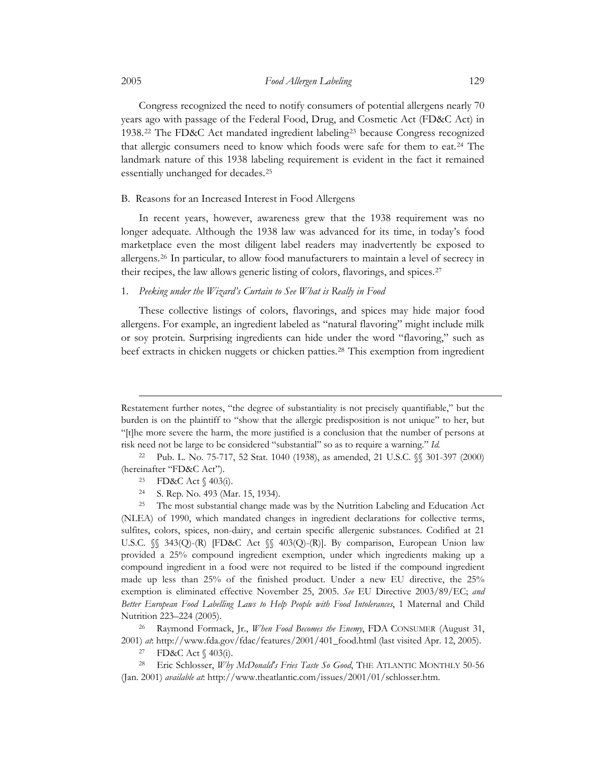Congress recognized the need to notify consumers of potential allergens nearly 70 years ago with passage of the Federal Food, Drug, and Cosmetic Act (FD&C Act) in 1938.[22](#page-4-1) The FD&C Act mandated ingredient labeling[23](#page-4-2) because Congress recognized that allergic consumers need to know which foods were safe for them to eat.<sup>[24](#page-4-3)</sup> The landmark nature of this 1938 labeling requirement is evident in the fact it remained essentially unchanged for decades[.25](#page-4-4)

### B. Reasons for an Increased Interest in Food Allergens

In recent years, however, awareness grew that the 1938 requirement was no longer adequate. Although the 1938 law was advanced for its time, in today's food marketplace even the most diligent label readers may inadvertently be exposed to allergens.[26](#page-4-5) In particular, to allow food manufacturers to maintain a level of secrecy in their recipes, the law allows generic listing of colors, flavorings, and spices.[27](#page-4-6)

# 1. *Peeking under the Wizard's Curtain to See What is Really in Food*

These collective listings of colors, flavorings, and spices may hide major food allergens. For example, an ingredient labeled as "natural flavoring" might include milk or soy protein. Surprising ingredients can hide under the word "flavoring," such as beef extracts in chicken nuggets or chicken patties.[28](#page-4-7) This exemption from ingredient

 $\overline{a}$ 

<span id="page-4-5"></span>Nutrition 223–224 (2005). 26 Raymond Formack, Jr., *When Food Becomes the Enemy*, FDA CONSUMER (August 31, 2001) *at*: http://www.fda.gov/fdac/features/2001/401\_food.html (last visited Apr. 12, 2005). 27 FD&C Act § 403(i).

<span id="page-4-0"></span>

Restatement further notes, "the degree of substantiality is not precisely quantifiable," but the burden is on the plaintiff to "show that the allergic predisposition is not unique" to her, but "[t]he more severe the harm, the more justified is a conclusion that the number of persons at risk need not be large to be considered "substantial" so as to require a warning." *Id.*

<span id="page-4-2"></span><span id="page-4-1"></span><sup>22</sup> Pub. L. No. 75-717, 52 Stat. 1040 (1938), as amended, 21 U.S.C. §§ 301-397 (2000) (hereinafter "FD&C Act").<br><sup>23</sup> FD&C Act § 403(i).

<sup>24</sup> S. Rep. No. 493 (Mar. 15, 1934).

<span id="page-4-4"></span><span id="page-4-3"></span><sup>&</sup>lt;sup>25</sup> The most substantial change made was by the Nutrition Labeling and Education Act (NLEA) of 1990, which mandated changes in ingredient declarations for collective terms, sulfites, colors, spices, non-dairy, and certain specific allergenic substances. Codified at 21 U.S.C.  $\%$  343(Q)-(R) [FD&C Act  $\%$  403(Q)-(R)]. By comparison, European Union law provided a 25% compound ingredient exemption, under which ingredients making up a compound ingredient in a food were not required to be listed if the compound ingredient made up less than 25% of the finished product. Under a new EU directive, the 25% exemption is eliminated effective November 25, 2005. *See* EU Directive 2003/89/EC; *and Better European Food Labelling Laws to Help People with Food Intolerances*, 1 Maternal and Child

<span id="page-4-7"></span><span id="page-4-6"></span><sup>28</sup> Eric Schlosser, *Why McDonald's Fries Taste So Good*, THE ATLANTIC MONTHLY 50-56 (Jan. 2001) *available at*: http://www.theatlantic.com/issues/2001/01/schlosser.htm.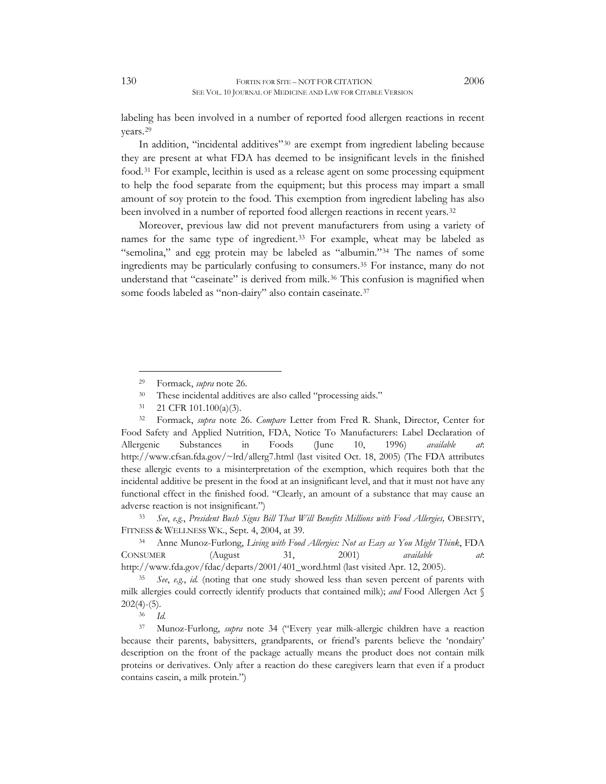labeling has been involved in a number of reported food allergen reactions in recent years.[29](#page-5-0)

In addition, "incidental additives"[30](#page-5-1) are exempt from ingredient labeling because they are present at what FDA has deemed to be insignificant levels in the finished food.[31](#page-5-2) For example, lecithin is used as a release agent on some processing equipment to help the food separate from the equipment; but this process may impart a small amount of soy protein to the food. This exemption from ingredient labeling has also been involved in a number of reported food allergen reactions in recent years.<sup>[32](#page-5-3)</sup>

Moreover, previous law did not prevent manufacturers from using a variety of names for the same type of ingredient.[33](#page-5-4) For example, wheat may be labeled as "semolina," and egg protein may be labeled as "albumin."[34](#page-5-5) The names of some ingredients may be particularly confusing to consumers.[35](#page-5-6) For instance, many do not understand that "caseinate" is derived from milk.[36](#page-5-7) This confusion is magnified when some foods labeled as "non-dairy" also contain caseinate.<sup>[37](#page-5-8)</sup>

 $\overline{a}$ 

31 21 CFR 101.100(a)(3).

<span id="page-5-5"></span><span id="page-5-4"></span>FITNESS & WELLNESS WK., Sept. 4, 2004, at 39. 34 Anne Munoz-Furlong, *Living with Food Allergies: Not as Easy as You Might Think*, FDA CONSUMER (August 31, 2001) *available at*:

<span id="page-5-6"></span>http://www.fda.gov/fdac/departs/2001/401\_word.html (last visited Apr. 12, 2005). 35 *See*, *e.g.*, *id.* (noting that one study showed less than seven percent of parents with milk allergies could correctly identify products that contained milk); *and* Food Allergen Act § 202(4)-(5). 36 *Id.*

<span id="page-5-8"></span><span id="page-5-7"></span>37 Munoz-Furlong, *supra* note 34 ("Every year milk-allergic children have a reaction because their parents, babysitters, grandparents, or friend's parents believe the 'nondairy' description on the front of the package actually means the product does not contain milk proteins or derivatives. Only after a reaction do these caregivers learn that even if a product contains casein, a milk protein.")

<sup>&</sup>lt;sup>29</sup> Formack, *supra* note 26.<br><sup>30</sup> These incidental additives are also called "processing aids."

<span id="page-5-3"></span><span id="page-5-2"></span><span id="page-5-1"></span><span id="page-5-0"></span><sup>32</sup> Formack, *supra* note 26. *Compare* Letter from Fred R. Shank, Director, Center for Food Safety and Applied Nutrition, FDA, Notice To Manufacturers: Label Declaration of Allergenic Substances in Foods (June 10, 1996) *available at*: http://www.cfsan.fda.gov/~lrd/allerg7.html (last visited Oct. 18, 2005) (The FDA attributes these allergic events to a misinterpretation of the exemption, which requires both that the incidental additive be present in the food at an insignificant level, and that it must not have any functional effect in the finished food. "Clearly, an amount of a substance that may cause an adverse reaction is not insignificant.") 33 *See*, *e.g.*, *President Bush Signs Bill That Will Benefits Millions with Food Allergies,* OBESITY,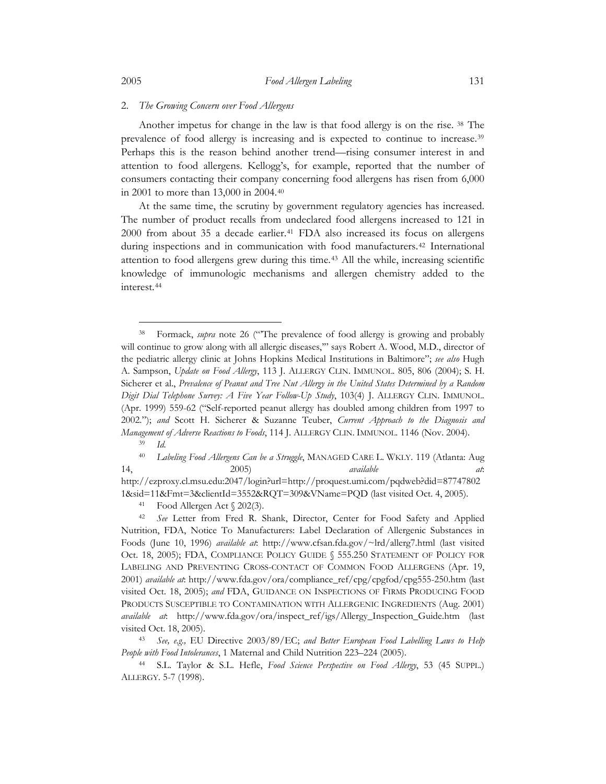### 2. *The Growing Concern over Food Allergens*

Another impetus for change in the law is that food allergy is on the rise. [38](#page-6-1) The prevalence of food allergy is increasing and is expected to continue to increase.[39](#page-6-2) Perhaps this is the reason behind another trend—rising consumer interest in and attention to food allergens. Kellogg's, for example, reported that the number of consumers contacting their company concerning food allergens has risen from 6,000 in 2001 to more than 13,000 in 2004.[40](#page-6-3)

At the same time, the scrutiny by government regulatory agencies has increased. The number of product recalls from undeclared food allergens increased to 121 in 2000 from about 35 a decade earlier.<sup>[41](#page-6-4)</sup> FDA also increased its focus on allergens during inspections and in communication with food manufacturers.<sup>[42](#page-6-5)</sup> International attention to food allergens grew during this time.[43](#page-6-6) All the while, increasing scientific knowledge of immunologic mechanisms and allergen chemistry added to the interest.[44](#page-6-7)

<span id="page-6-0"></span>

<span id="page-6-1"></span><sup>&</sup>lt;sup>38</sup> Formack, *supra* note 26 ("The prevalence of food allergy is growing and probably will continue to grow along with all allergic diseases," says Robert A. Wood, M.D., director of the pediatric allergy clinic at Johns Hopkins Medical Institutions in Baltimore"; *see also* Hugh A. Sampson, *Update on Food Allergy*, 113 J. ALLERGY CLIN. IMMUNOL. 805, 806 (2004); S. H. Sicherer et al., *Prevalence of Peanut and Tree Nut Allergy in the United States Determined by a Random Digit Dial Telephone Survey: A Five Year Follow-Up Study*, 103(4) J. ALLERGY CLIN. IMMUNOL. (Apr. 1999) 559-62 ("Self-reported peanut allergy has doubled among children from 1997 to 2002."); *and* Scott H. Sicherer & Suzanne Teuber, *Current Approach to the Diagnosis and Management of Adverse Reactions to Foods*, 114 J. ALLERGY CLIN. IMMUNOL. 1146 (Nov. 2004). 39 *Id.*

<span id="page-6-3"></span><span id="page-6-2"></span><sup>40</sup> *Labeling Food Allergens Can be a Struggle*, MANAGED CARE L. WKLY. 119 (Atlanta: Aug 14, 2005) *available at*:

http://ezproxy.cl.msu.edu:2047/login?url=http://proquest.umi.com/pqdweb?did=87747802 1&sid=11&Fmt=3&clientId=3552&RQT=309&VName=PQD (last visited Oct. 4, 2005).<br><sup>41</sup> Food Allergen Act § 202(3).

<span id="page-6-5"></span><span id="page-6-4"></span><sup>42</sup> *See* Letter from Fred R. Shank, Director, Center for Food Safety and Applied Nutrition, FDA, Notice To Manufacturers: Label Declaration of Allergenic Substances in Foods (June 10, 1996) *available at*: http://www.cfsan.fda.gov/~lrd/allerg7.html (last visited Oct. 18, 2005); FDA, COMPLIANCE POLICY GUIDE § 555.250 STATEMENT OF POLICY FOR LABELING AND PREVENTING CROSS-CONTACT OF COMMON FOOD ALLERGENS (Apr. 19, 2001) *available at*: http://www.fda.gov/ora/compliance\_ref/cpg/cpgfod/cpg555-250.htm (last visited Oct. 18, 2005); *and* FDA, GUIDANCE ON INSPECTIONS OF FIRMS PRODUCING FOOD PRODUCTS SUSCEPTIBLE TO CONTAMINATION WITH ALLERGENIC INGREDIENTS (Aug. 2001) *available at*: http://www.fda.gov/ora/inspect\_ref/igs/Allergy\_Inspection\_Guide.htm (last visited Oct. 18, 2005). 43 *See, e.g.,* EU Directive 2003/89/EC; *and Better European Food Labelling Laws to Help* 

<span id="page-6-6"></span>*People with Food Intolerances*, 1 Maternal and Child Nutrition 223–224 (2005). 44 S.L. Taylor & S.L. Hefle, *Food Science Perspective on Food Allergy*, 53 (45 SUPPL.)

<span id="page-6-7"></span>ALLERGY. 5-7 (1998).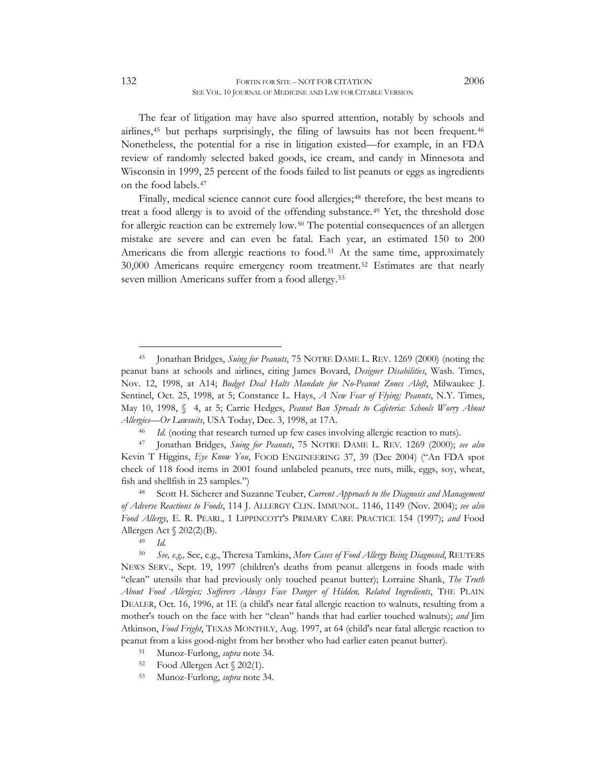The fear of litigation may have also spurred attention, notably by schools and airlines,[45](#page-7-0) but perhaps surprisingly, the filing of lawsuits has not been frequent.[46](#page-7-1) Nonetheless, the potential for a rise in litigation existed—for example, in an FDA review of randomly selected baked goods, ice cream, and candy in Minnesota and Wisconsin in 1999, 25 percent of the foods failed to list peanuts or eggs as ingredients on the food labels.[47](#page-7-2)

Finally, medical science cannot cure food allergies;<sup>[48](#page-7-3)</sup> therefore, the best means to treat a food allergy is to avoid of the offending substance.<sup>[49](#page-7-4)</sup> Yet, the threshold dose for allergic reaction can be extremely low.[50](#page-7-5) The potential consequences of an allergen mistake are severe and can even be fatal. Each year, an estimated 150 to 200 Americans die from allergic reactions to food.<sup>[51](#page-7-6)</sup> At the same time, approximately 30,000 Americans require emergency room treatment.[52](#page-7-7) Estimates are that nearly seven million Americans suffer from a food allergy.[53](#page-7-8)

- <span id="page-7-8"></span><span id="page-7-7"></span><span id="page-7-6"></span>52 Food Allergen Act § 202(1).
- 53 Munoz-Furlong, *supra* note 34.

<span id="page-7-0"></span><sup>45</sup> Jonathan Bridges, *Suing for Peanuts*, 75 NOTRE DAME L. REV. 1269 (2000) (noting the peanut bans at schools and airlines, citing James Bovard, *Designer Disabilities*, Wash. Times, Nov. 12, 1998, at A14; *Budget Deal Halts Mandate for No-Peanut Zones Aloft*, Milwaukee J. Sentinel, Oct. 25, 1998, at 5; Constance L. Hays, *A New Fear of Flying: Peanuts*, N.Y. Times, May 10, 1998, § 4, at 5; Carrie Hedges, *Peanut Ban Spreads to Cafeteria: Schools Worry About*  Allergies—Or Lawsuits, USA Today, Dec. 3, 1998, at 17A.<br><sup>46</sup> Id. (noting that research turned up few cases involving allergic reaction to nuts).<br><sup>47</sup> Jonathan Bridges, *Suing for Peanuts*, 75 NOTRE DAME L. REV. 1269 (2000)

<span id="page-7-2"></span><span id="page-7-1"></span>Kevin T Higgins, *Eye Know You*, FOOD ENGINEERING 37, 39 (Dec 2004) ("An FDA spot check of 118 food items in 2001 found unlabeled peanuts, tree nuts, milk, eggs, soy, wheat,

<span id="page-7-3"></span>fish and shellfish in 23 samples.") 48 Scott H. Sicherer and Suzanne Teuber, *Current Approach to the Diagnosis and Management of Adverse Reactions to Foods*, 114 J. ALLERGY CLIN. IMMUNOL. 1146, 1149 (Nov. 2004); *see also Food Allergy*, E. R. PEARL, 1 LIPPINCOTT'S PRIMARY CARE PRACTICE 154 (1997); *and* Food Allergen Act § 202(2)(B). 49 *Id.*

<span id="page-7-5"></span><span id="page-7-4"></span><sup>50</sup> *See, e.g.,* See, e.g., Theresa Tamkins, *More Cases of Food Allergy Being Diagnosed*, REUTERS NEWS SERV., Sept. 19, 1997 (children's deaths from peanut allergens in foods made with "clean" utensils that had previously only touched peanut butter); Lorraine Shank, *The Truth About Food Allergies; Sufferers Always Face Danger of Hidden, Related Ingredients*, THE PLAIN DEALER, Oct. 16, 1996, at 1E (a child's near fatal allergic reaction to walnuts, resulting from a mother's touch on the face with her "clean" hands that had earlier touched walnuts); *and* Jim Atkinson, *Food Fright*, TEXAS MONTHLY, Aug. 1997, at 64 (child's near fatal allergic reaction to peanut from a kiss good-night from her brother who had earlier eaten peanut butter). 51 Munoz-Furlong, *supra* note 34.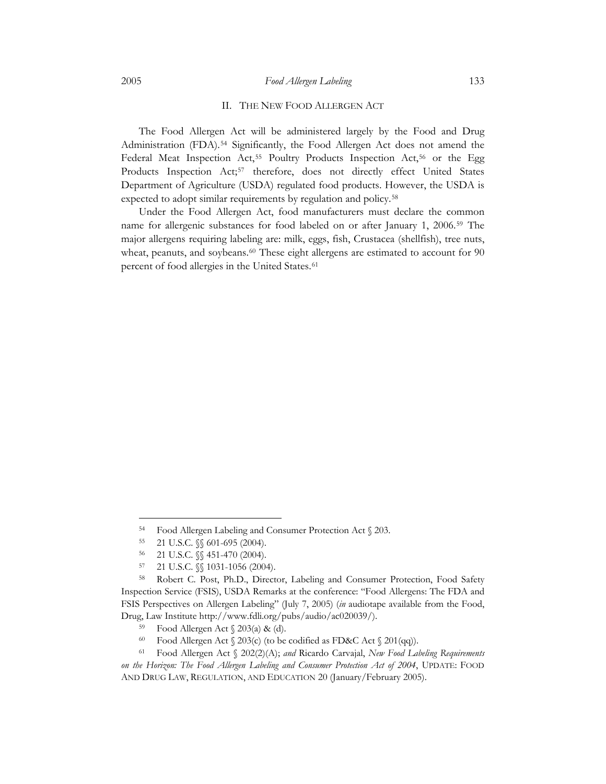### II. THE NEW FOOD ALLERGEN ACT

<span id="page-8-0"></span>The Food Allergen Act will be administered largely by the Food and Drug Administration (FDA).<sup>[54](#page-8-1)</sup> Significantly, the Food Allergen Act does not amend the Federal Meat Inspection Act,<sup>[55](#page-8-2)</sup> Poultry Products Inspection Act,<sup>[56](#page-8-3)</sup> or the Egg Products Inspection Act;<sup>[57](#page-8-4)</sup> therefore, does not directly effect United States Department of Agriculture (USDA) regulated food products. However, the USDA is expected to adopt similar requirements by regulation and policy.<sup>[58](#page-8-5)</sup>

Under the Food Allergen Act, food manufacturers must declare the common name for allergenic substances for food labeled on or after January 1, 2006.[59](#page-8-6) The major allergens requiring labeling are: milk, eggs, fish, Crustacea (shellfish), tree nuts, wheat, peanuts, and soybeans.<sup>[60](#page-8-7)</sup> These eight allergens are estimated to account for 90 percent of food allergies in the United States.<sup>[61](#page-8-8)</sup>

<sup>54</sup> Food Allergen Labeling and Consumer Protection Act § 203. 55 21 U.S.C. §§ 601-695 (2004).

<sup>56 21</sup> U.S.C. §§ 451-470 (2004).

<sup>57 21</sup> U.S.C. §§ 1031-1056 (2004).

<span id="page-8-5"></span><span id="page-8-4"></span><span id="page-8-3"></span><span id="page-8-2"></span><span id="page-8-1"></span><sup>58</sup> Robert C. Post, Ph.D., Director, Labeling and Consumer Protection, Food Safety Inspection Service (FSIS), USDA Remarks at the conference: "Food Allergens: The FDA and FSIS Perspectives on Allergen Labeling" (July 7, 2005) (*in* audiotape available from the Food, Drug, Law Institute http://www.fdli.org/pubs/audio/ac020039/). 59 Food Allergen Act § 203(a) & (d).

<span id="page-8-8"></span><span id="page-8-7"></span><span id="page-8-6"></span><sup>60</sup> Food Allergen Act § 203(c) (to be codified as FD&C Act § 201(qq)). 61 Food Allergen Act § 202(2)(A); *and* Ricardo Carvajal, *New Food Labeling Requirements on the Horizon: The Food Allergen Labeling and Consumer Protection Act of 2004*, UPDATE: FOOD AND DRUG LAW, REGULATION, AND EDUCATION 20 (January/February 2005).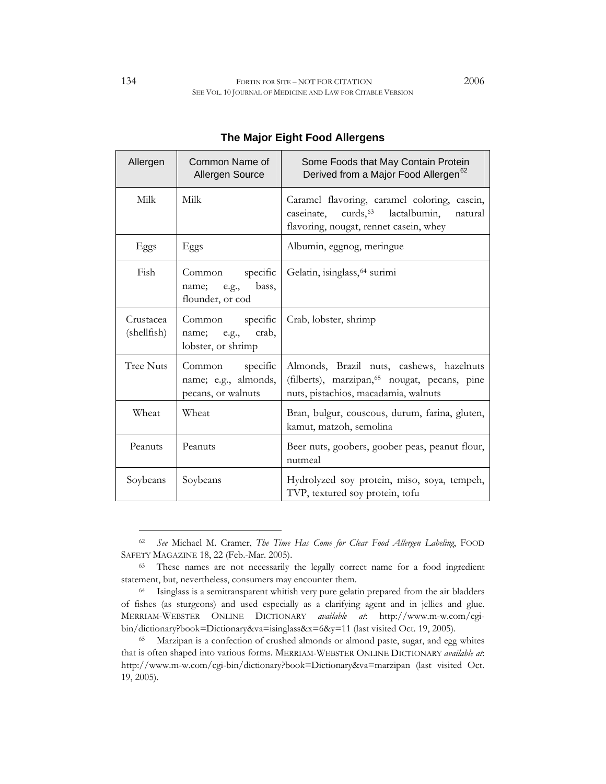| Allergen                 | Common Name of<br>Allergen Source                                   | Some Foods that May Contain Protein<br>Derived from a Major Food Allergen <sup>62</sup>                                                      |
|--------------------------|---------------------------------------------------------------------|----------------------------------------------------------------------------------------------------------------------------------------------|
| Milk                     | Milk                                                                | Caramel flavoring, caramel coloring, casein,<br>caseinate, curds, 63<br>lactalbumin,<br>natural<br>flavoring, nougat, rennet casein, whey    |
| Eggs                     | Eggs                                                                | Albumin, eggnog, meringue                                                                                                                    |
| Fish                     | specific<br>Common<br>bass,<br>name;<br>e.g.,<br>flounder, or cod   | Gelatin, isinglass, 64 surimi                                                                                                                |
| Crustacea<br>(shellfish) | specific<br>Common<br>crab,<br>name;<br>e.g.,<br>lobster, or shrimp | Crab, lobster, shrimp                                                                                                                        |
| <b>Tree Nuts</b>         | specific<br>Common<br>name; e.g., almonds,<br>pecans, or walnuts    | Almonds, Brazil nuts, cashews, hazelnuts<br>(filberts), marzipan, <sup>65</sup> nougat, pecans, pine<br>nuts, pistachios, macadamia, walnuts |
| Wheat                    | Wheat                                                               | Bran, bulgur, couscous, durum, farina, gluten,<br>kamut, matzoh, semolina                                                                    |
| Peanuts                  | Peanuts                                                             | Beer nuts, goobers, goober peas, peanut flour,<br>nutmeal                                                                                    |
| Soybeans                 | Soybeans                                                            | Hydrolyzed soy protein, miso, soya, tempeh,<br>TVP, textured soy protein, tofu                                                               |

# **The Major Eight Food Allergens**

<span id="page-9-0"></span><sup>62</sup> *See* Michael M. Cramer, *The Time Has Come for Clear Food Allergen Labeling*, FOOD SAFETY MAGAZINE 18, 22 (Feb.-Mar. 2005).<br><sup>63</sup> These names are not necessarily the legally correct name for a food ingredient

<span id="page-9-1"></span>statement, but, nevertheless, consumers may encounter them.<br><sup>64</sup> Isinglass is a semitransparent whitish very pure gelatin prepared from the air bladders

<span id="page-9-2"></span>of fishes (as sturgeons) and used especially as a clarifying agent and in jellies and glue. MERRIAM-WEBSTER ONLINE DICTIONARY *available at*: http://www.m-w.com/cgibin/dictionary?book=Dictionary&va=isinglass&x=6&y=11 (last visited Oct. 19, 2005).<br><sup>65</sup> Marzipan is a confection of crushed almonds or almond paste, sugar, and egg whites

<span id="page-9-3"></span>that is often shaped into various forms. MERRIAM-WEBSTER ONLINE DICTIONARY *available at*: http://www.m-w.com/cgi-bin/dictionary?book=Dictionary&va=marzipan (last visited Oct. 19, 2005).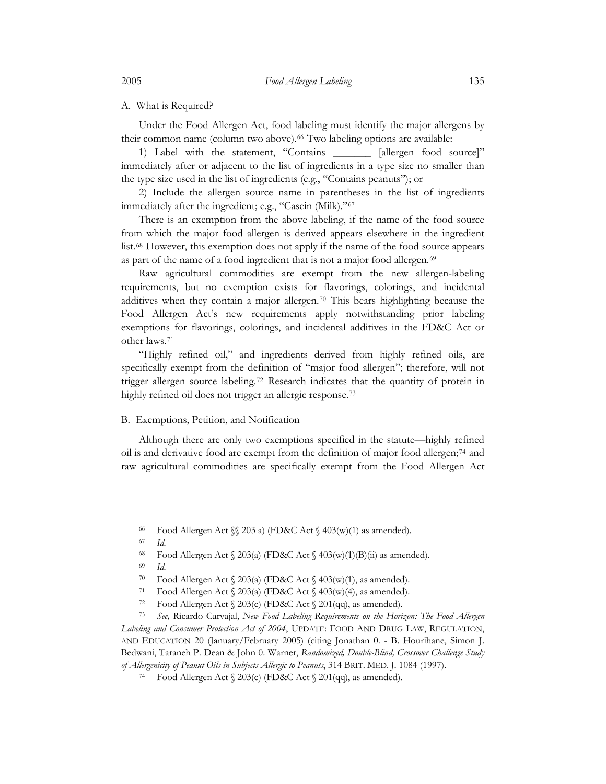### A. What is Required?

Under the Food Allergen Act, food labeling must identify the major allergens by their common name (column two above).<sup>[66](#page-10-1)</sup> Two labeling options are available:

1) Label with the statement, "Contains \_\_\_\_\_\_\_ [allergen food source]" immediately after or adjacent to the list of ingredients in a type size no smaller than the type size used in the list of ingredients (e.g., "Contains peanuts"); or

2) Include the allergen source name in parentheses in the list of ingredients immediately after the ingredient; e.g., "Casein (Milk)."<sup>[67](#page-10-2)</sup>

There is an exemption from the above labeling, if the name of the food source from which the major food allergen is derived appears elsewhere in the ingredient list.[68](#page-10-3) However, this exemption does not apply if the name of the food source appears as part of the name of a food ingredient that is not a major food allergen.<sup>[69](#page-10-4)</sup>

Raw agricultural commodities are exempt from the new allergen-labeling requirements, but no exemption exists for flavorings, colorings, and incidental additives when they contain a major allergen.[70](#page-10-5) This bears highlighting because the Food Allergen Act's new requirements apply notwithstanding prior labeling exemptions for flavorings, colorings, and incidental additives in the FD&C Act or other laws.[71](#page-10-6)

"Highly refined oil," and ingredients derived from highly refined oils, are specifically exempt from the definition of "major food allergen"; therefore, will not trigger allergen source labeling.[72](#page-10-7) Research indicates that the quantity of protein in highly refined oil does not trigger an allergic response.<sup>[73](#page-10-8)</sup>

### B. Exemptions, Petition, and Notification

Although there are only two exemptions specified in the statute—highly refined oil is and derivative food are exempt from the definition of major food allergen;[74](#page-10-9) and raw agricultural commodities are specifically exempt from the Food Allergen Act

 $\overline{a}$ 

69 *Id.* 

<span id="page-10-0"></span>

<sup>66</sup> Food Allergen Act §§ 203 a) (FD&C Act § 403(w)(1) as amended). 67 *Id.*

<sup>&</sup>lt;sup>68</sup> Food Allergen Act  $\S 203(a)$  (FD&C Act  $\S 403(w)(1)(B)(ii)$  as amended).

<span id="page-10-8"></span><span id="page-10-7"></span><span id="page-10-6"></span><span id="page-10-5"></span><span id="page-10-4"></span><span id="page-10-3"></span><span id="page-10-2"></span><span id="page-10-1"></span><sup>&</sup>lt;sup>70</sup> Food Allergen Act § 203(a) (FD&C Act § 403(w)(1), as amended).<br><sup>71</sup> Food Allergen Act § 203(a) (FD&C Act § 403(w)(4), as amended).<br><sup>72</sup> Food Allergen Act § 203(c) (FD&C Act § 201(qq), as amended).<br><sup>73</sup> *See*, Ricardo *Labeling and Consumer Protection Act of 2004*, UPDATE: FOOD AND DRUG LAW, REGULATION, AND EDUCATION 20 (January/February 2005) (citing Jonathan 0. - B. Hourihane, Simon J. Bedwani, Taraneh P. Dean & John 0. Warner, *Randomized, Double-Blind, Crossover Challenge Study of Allergenicity of Peanut Oils in Subjects Allergic to Peanuts*, 314 BRIT. MED. J. 1084 (1997). 74 Food Allergen Act § 203(c) (FD&C Act § 201(qq), as amended).

<span id="page-10-9"></span>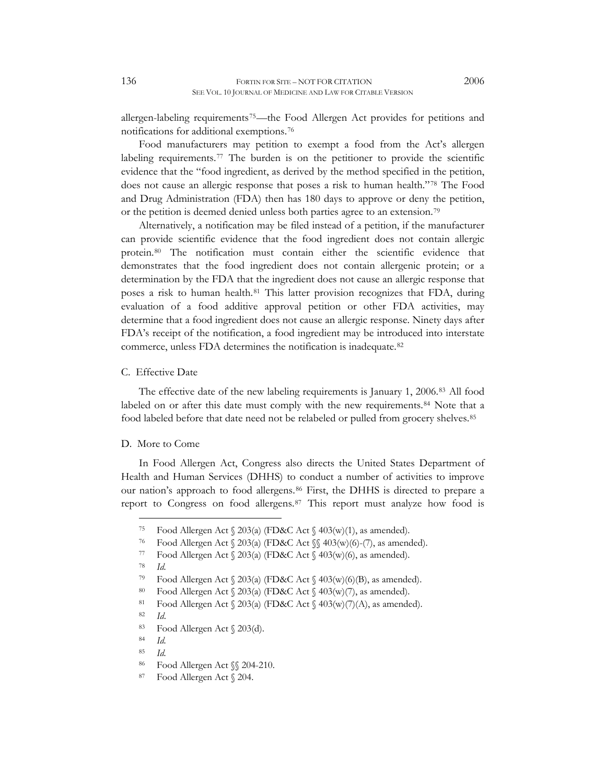<span id="page-11-0"></span>allergen-labeling requirements<sup>[75](#page-11-1)</sup>—the Food Allergen Act provides for petitions and notifications for additional exemptions.[76](#page-11-2)

Food manufacturers may petition to exempt a food from the Act's allergen labeling requirements.<sup>[77](#page-11-3)</sup> The burden is on the petitioner to provide the scientific evidence that the "food ingredient, as derived by the method specified in the petition, does not cause an allergic response that poses a risk to human health."[78](#page-11-4) The Food and Drug Administration (FDA) then has 180 days to approve or deny the petition, or the petition is deemed denied unless both parties agree to an extension.[79](#page-11-5)

Alternatively, a notification may be filed instead of a petition, if the manufacturer can provide scientific evidence that the food ingredient does not contain allergic protein.[80](#page-11-6) The notification must contain either the scientific evidence that demonstrates that the food ingredient does not contain allergenic protein; or a determination by the FDA that the ingredient does not cause an allergic response that poses a risk to human health.<sup>[81](#page-11-7)</sup> This latter provision recognizes that FDA, during evaluation of a food additive approval petition or other FDA activities, may determine that a food ingredient does not cause an allergic response. Ninety days after FDA's receipt of the notification, a food ingredient may be introduced into interstate commerce, unless FDA determines the notification is inadequate.[82](#page-11-8)

### C. Effective Date

The effective date of the new labeling requirements is January 1, 2006.[83](#page-11-9) All food labeled on or after this date must comply with the new requirements.<sup>[84](#page-11-10)</sup> Note that a food labeled before that date need not be relabeled or pulled from grocery shelves.<sup>[85](#page-11-11)</sup>

### D. More to Come

In Food Allergen Act, Congress also directs the United States Department of Health and Human Services (DHHS) to conduct a number of activities to improve our nation's approach to food allergens.[86](#page-11-12) First, the DHHS is directed to prepare a report to Congress on food allergens.[87](#page-11-13) This report must analyze how food is

<span id="page-11-2"></span><span id="page-11-1"></span><sup>75</sup> Food Allergen Act § 203(a) (FD&C Act § 403(w)(1), as amended). 76 Food Allergen Act § 203(a) (FD&C Act §§ 403(w)(6)-(7), as amended). 77 Food Allergen Act § 203(a) (FD&C Act § 403(w)(6), as amended). 78 *Id.*

<span id="page-11-4"></span><span id="page-11-3"></span>

<span id="page-11-6"></span><span id="page-11-5"></span>Food Allergen Act § 203(a) (FD&C Act § 403(w)(6)(B), as amended).<br><sup>80</sup> Food Allergen Act § 203(a) (FD&C Act § 403(w)(7), as amended).<br><sup>81</sup> Food Allergen Act § 203(a) (FD&C Act § 403(w)(7)(A), as amended).

<span id="page-11-9"></span>

<span id="page-11-8"></span><span id="page-11-7"></span><sup>82</sup>*Id*. 83 Food Allergen Act § 203(d).

<span id="page-11-10"></span><sup>84</sup> *Id.*

<span id="page-11-11"></span><sup>85</sup> *Id.*

<span id="page-11-12"></span><sup>86</sup> Food Allergen Act §§ 204-210.

<span id="page-11-13"></span><sup>87</sup> Food Allergen Act § 204.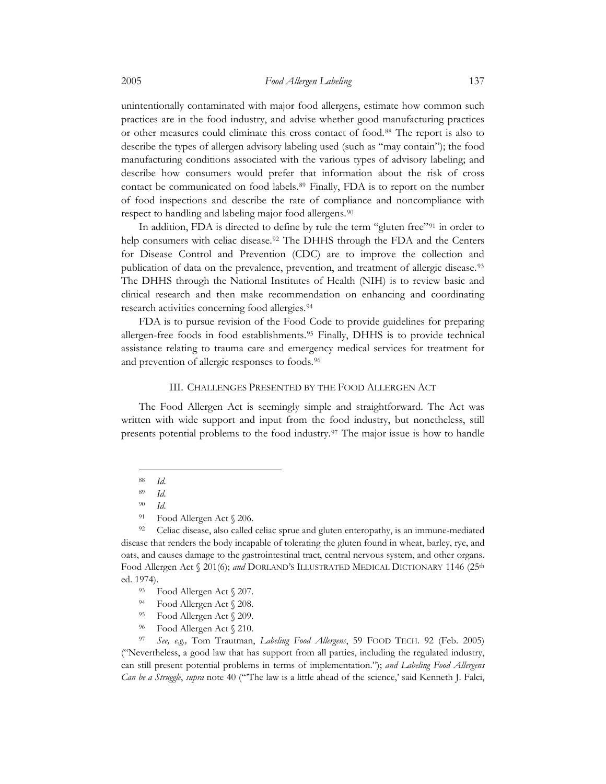<span id="page-12-0"></span>unintentionally contaminated with major food allergens, estimate how common such practices are in the food industry, and advise whether good manufacturing practices or other measures could eliminate this cross contact of food.[88](#page-12-1) The report is also to describe the types of allergen advisory labeling used (such as "may contain"); the food manufacturing conditions associated with the various types of advisory labeling; and describe how consumers would prefer that information about the risk of cross contact be communicated on food labels.[89](#page-12-2) Finally, FDA is to report on the number of food inspections and describe the rate of compliance and noncompliance with respect to handling and labeling major food allergens.[90](#page-12-3)

In addition, FDA is directed to define by rule the term "gluten free"<sup>[91](#page-12-4)</sup> in order to help consumers with celiac disease.<sup>92</sup> The DHHS through the FDA and the Centers for Disease Control and Prevention (CDC) are to improve the collection and publication of data on the prevalence, prevention, and treatment of allergic disease.<sup>[93](#page-12-6)</sup> The DHHS through the National Institutes of Health (NIH) is to review basic and clinical research and then make recommendation on enhancing and coordinating research activities concerning food allergies.[94](#page-12-7)

FDA is to pursue revision of the Food Code to provide guidelines for preparing allergen-free foods in food establishments.[95](#page-12-8) Finally, DHHS is to provide technical assistance relating to trauma care and emergency medical services for treatment for and prevention of allergic responses to foods.[96](#page-12-9)

# III. CHALLENGES PRESENTED BY THE FOOD ALLERGEN ACT

The Food Allergen Act is seemingly simple and straightforward. The Act was written with wide support and input from the food industry, but nonetheless, still presents potential problems to the food industry.[97](#page-12-10) The major issue is how to handle

 $\overline{a}$ 

<span id="page-12-10"></span><span id="page-12-9"></span><span id="page-12-8"></span><span id="page-12-7"></span><span id="page-12-6"></span>97 *See, e.g.,* Tom Trautman, *Labeling Food Allergens*, 59 FOOD TECH. 92 (Feb. 2005) ("Nevertheless, a good law that has support from all parties, including the regulated industry, can still present potential problems in terms of implementation."); *and Labeling Food Allergens Can be a Struggle*, *supra* note 40 ("'The law is a little ahead of the science,' said Kenneth J. Falci,

<sup>88</sup> *Id.*

<sup>89</sup> *Id.*

<sup>90</sup> *Id.*

<sup>91</sup> Food Allergen Act § 206.

<span id="page-12-5"></span><span id="page-12-4"></span><span id="page-12-3"></span><span id="page-12-2"></span><span id="page-12-1"></span><sup>&</sup>lt;sup>92</sup> Celiac disease, also called celiac sprue and gluten enteropathy, is an immune-mediated disease that renders the body incapable of tolerating the gluten found in wheat, barley, rye, and oats, and causes damage to the gastrointestinal tract, central nervous system, and other organs. Food Allergen Act § 201(6); and DORLAND'S ILLUSTRATED MEDICAL DICTIONARY 1146 (25<sup>th</sup> ed. 1974).<br><sup>93</sup> Food Allergen Act  $\sqrt[6]{207}$ .

<sup>94</sup> Food Allergen Act § 208.

<sup>95</sup> Food Allergen Act § 209.

<sup>96</sup> Food Allergen Act § 210.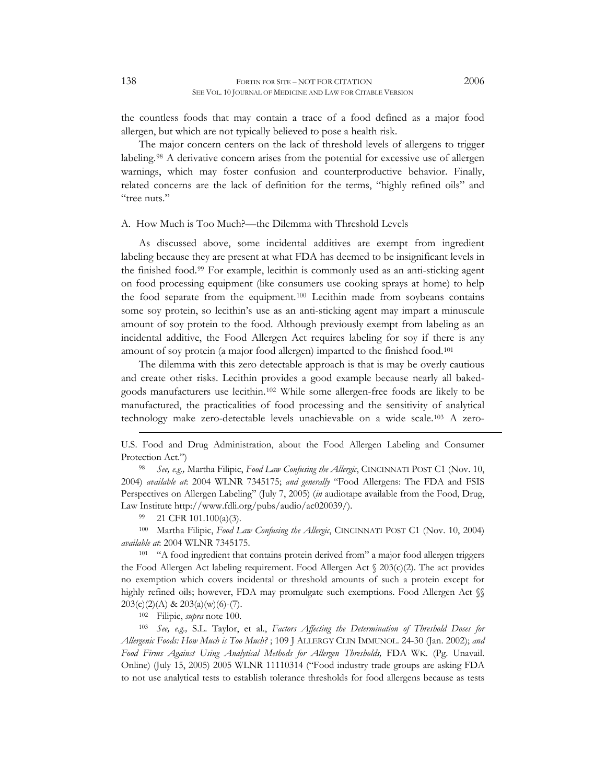<span id="page-13-0"></span>the countless foods that may contain a trace of a food defined as a major food allergen, but which are not typically believed to pose a health risk.

The major concern centers on the lack of threshold levels of allergens to trigger labeling.<sup>[98](#page-13-1)</sup> A derivative concern arises from the potential for excessive use of allergen warnings, which may foster confusion and counterproductive behavior. Finally, related concerns are the lack of definition for the terms, "highly refined oils" and "tree nuts."

#### A. How Much is Too Much?—the Dilemma with Threshold Levels

As discussed above, some incidental additives are exempt from ingredient labeling because they are present at what FDA has deemed to be insignificant levels in the finished food.[99](#page-13-2) For example, lecithin is commonly used as an anti-sticking agent on food processing equipment (like consumers use cooking sprays at home) to help the food separate from the equipment.[100](#page-13-3) Lecithin made from soybeans contains some soy protein, so lecithin's use as an anti-sticking agent may impart a minuscule amount of soy protein to the food. Although previously exempt from labeling as an incidental additive, the Food Allergen Act requires labeling for soy if there is any amount of soy protein (a major food allergen) imparted to the finished food[.101](#page-13-4)

The dilemma with this zero detectable approach is that is may be overly cautious and create other risks. Lecithin provides a good example because nearly all bakedgoods manufacturers use lecithin.[102](#page-13-5) While some allergen-free foods are likely to be manufactured, the practicalities of food processing and the sensitivity of analytical technology make zero-detectable levels unachievable on a wide scale.[103](#page-13-6) A zero-

<span id="page-13-1"></span>2004) *available at*: 2004 WLNR 7345175; *and generally* "Food Allergens: The FDA and FSIS Perspectives on Allergen Labeling" (July 7, 2005) (*in* audiotape available from the Food, Drug, Law Institute http://www.fdli.org/pubs/audio/ac020039/).<br><sup>99</sup> 21 CFR 101.100(a)(3).

 $\overline{a}$ 

<span id="page-13-2"></span>100 Martha Filipic, *Food Law Confusing the Allergic*, CINCINNATI POST C1 (Nov. 10, 2004)

<span id="page-13-4"></span><span id="page-13-3"></span>*available at*: 2004 WLNR 7345175. 101 "A food ingredient that contains protein derived from" a major food allergen triggers the Food Allergen Act labeling requirement. Food Allergen Act  $\Omega(203(c)/2)$ . The act provides no exemption which covers incidental or threshold amounts of such a protein except for highly refined oils; however, FDA may promulgate such exemptions. Food Allergen Act  $\mathcal{S}$ 

<span id="page-13-6"></span><span id="page-13-5"></span>203(c)(2)(A) & 203(a)(w)(6)-(7). 102 Filipic, *supra* note 100. 103 *See, e.g.,* S.L. Taylor, et al., *Factors Affecting the Determination of Threshold Doses for Allergenic Foods: How Much is Too Much?* ; 109 J ALLERGY CLIN IMMUNOL. 24-30 (Jan. 2002); *and Food Firms Against Using Analytical Methods for Allergen Thresholds,* FDA WK. (Pg. Unavail. Online) (July 15, 2005) 2005 WLNR 11110314 ("Food industry trade groups are asking FDA to not use analytical tests to establish tolerance thresholds for food allergens because as tests

U.S. Food and Drug Administration, about the Food Allergen Labeling and Consumer Protection Act.")<br><sup>98</sup> *See, e.g., Martha Filipic, Food Law Confusing the Allergic*, CINCINNATI POST C1 (Nov. 10,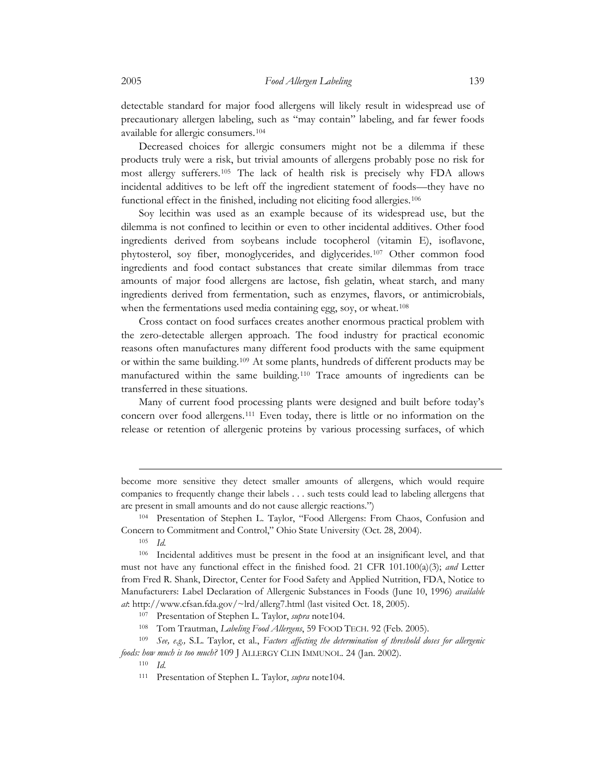detectable standard for major food allergens will likely result in widespread use of precautionary allergen labeling, such as "may contain" labeling, and far fewer foods available for allergic consumers.[104](#page-14-0)

Decreased choices for allergic consumers might not be a dilemma if these products truly were a risk, but trivial amounts of allergens probably pose no risk for most allergy sufferers.[105](#page-14-1) The lack of health risk is precisely why FDA allows incidental additives to be left off the ingredient statement of foods—they have no functional effect in the finished, including not eliciting food allergies.<sup>[106](#page-14-2)</sup>

Soy lecithin was used as an example because of its widespread use, but the dilemma is not confined to lecithin or even to other incidental additives. Other food ingredients derived from soybeans include tocopherol (vitamin E), isoflavone, phytosterol, soy fiber, monoglycerides, and diglycerides.[107](#page-14-3) Other common food ingredients and food contact substances that create similar dilemmas from trace amounts of major food allergens are lactose, fish gelatin, wheat starch, and many ingredients derived from fermentation, such as enzymes, flavors, or antimicrobials, when the fermentations used media containing egg, soy, or wheat.<sup>[108](#page-14-4)</sup>

Cross contact on food surfaces creates another enormous practical problem with the zero-detectable allergen approach. The food industry for practical economic reasons often manufactures many different food products with the same equipment or within the same building.[109](#page-14-5) At some plants, hundreds of different products may be manufactured within the same building.[110](#page-14-6) Trace amounts of ingredients can be transferred in these situations.

Many of current food processing plants were designed and built before today's concern over food allergens.[111](#page-14-7) Even today, there is little or no information on the release or retention of allergenic proteins by various processing surfaces, of which

become more sensitive they detect smaller amounts of allergens, which would require companies to frequently change their labels . . . such tests could lead to labeling allergens that are present in small amounts and do not cause allergic reactions.") 104 Presentation of Stephen L. Taylor, "Food Allergens: From Chaos, Confusion and

<span id="page-14-0"></span>Concern to Commitment and Control," Ohio State University (Oct. 28, 2004). 105 *Id.*

<span id="page-14-2"></span><span id="page-14-1"></span><sup>106</sup> Incidental additives must be present in the food at an insignificant level, and that must not have any functional effect in the finished food. 21 CFR 101.100(a)(3); *and* Letter from Fred R. Shank, Director, Center for Food Safety and Applied Nutrition, FDA, Notice to Manufacturers: Label Declaration of Allergenic Substances in Foods (June 10, 1996) *available at*: http://www.cfsan.fda.gov/~lrd/allerg7.html (last visited Oct. 18, 2005).<br><sup>107</sup> Presentation of Stephen L. Taylor, *supra* note104.<br><sup>108</sup> Tom Trautman, *Labeling Food Allergens*, 59 FOOD TECH. 92 (Feb. 2005).<br><sup>109</sup>

<span id="page-14-7"></span><span id="page-14-6"></span><span id="page-14-5"></span><span id="page-14-4"></span><span id="page-14-3"></span>*foods: how much is too much?* 109 J ALLERGY CLIN IMMUNOL. 24 (Jan. 2002). 110 *Id.*

<sup>111</sup> Presentation of Stephen L. Taylor, *supra* note104.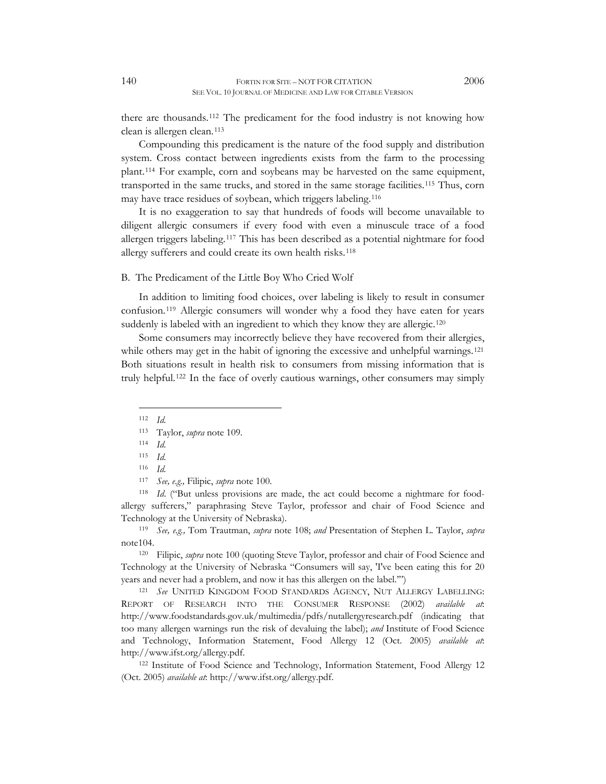<span id="page-15-0"></span>there are thousands.[112](#page-15-1) The predicament for the food industry is not knowing how clean is allergen clean.[113](#page-15-2)

Compounding this predicament is the nature of the food supply and distribution system. Cross contact between ingredients exists from the farm to the processing plant.[114](#page-15-3) For example, corn and soybeans may be harvested on the same equipment, transported in the same trucks, and stored in the same storage facilities[.115](#page-15-4) Thus, corn may have trace residues of soybean, which triggers labeling.[116](#page-15-5)

It is no exaggeration to say that hundreds of foods will become unavailable to diligent allergic consumers if every food with even a minuscule trace of a food allergen triggers labeling.[117](#page-15-6) This has been described as a potential nightmare for food allergy sufferers and could create its own health risks.[118](#page-15-7)

## B. The Predicament of the Little Boy Who Cried Wolf

In addition to limiting food choices, over labeling is likely to result in consumer confusion.[119](#page-15-8) Allergic consumers will wonder why a food they have eaten for years suddenly is labeled with an ingredient to which they know they are allergic.<sup>[120](#page-15-9)</sup>

Some consumers may incorrectly believe they have recovered from their allergies, while others may get in the habit of ignoring the excessive and unhelpful warnings.<sup>[121](#page-15-10)</sup> Both situations result in health risk to consumers from missing information that is truly helpful.[122](#page-15-11) In the face of overly cautious warnings, other consumers may simply

112 *Id.*

 $\overline{a}$ 

114 *Id.* 

<span id="page-15-7"></span><span id="page-15-6"></span><span id="page-15-5"></span><span id="page-15-4"></span><span id="page-15-3"></span><span id="page-15-2"></span><span id="page-15-1"></span><sup>117</sup>*See, e.g.,* Filipic, *supra* note 100. 118 *Id*. ("But unless provisions are made, the act could become a nightmare for foodallergy sufferers," paraphrasing Steve Taylor, professor and chair of Food Science and

<span id="page-15-8"></span>Technology at the University of Nebraska). 119 *See, e.g.,* Tom Trautman, *supra* note 108; *and* Presentation of Stephen L. Taylor, *supra* note104. 120 Filipic, *supra* note 100 (quoting Steve Taylor, professor and chair of Food Science and

<span id="page-15-9"></span>Technology at the University of Nebraska "Consumers will say, 'I've been eating this for 20 years and never had a problem, and now it has this allergen on the label."")<br><sup>121</sup> *See* UNITED KINGDOM FOOD STANDARDS AGENCY, NUT ALLERGY LABELLING:

<span id="page-15-10"></span>REPORT OF RESEARCH INTO THE CONSUMER RESPONSE (2002) *available at*: http://www.foodstandards.gov.uk/multimedia/pdfs/nutallergyresearch.pdf (indicating that too many allergen warnings run the risk of devaluing the label); *and* Institute of Food Science and Technology, Information Statement, Food Allergy 12 (Oct. 2005) *available at*: http://www.ifst.org/allergy.pdf. 122 Institute of Food Science and Technology, Information Statement, Food Allergy 12

<span id="page-15-11"></span>(Oct. 2005) *available at*: http://www.ifst.org/allergy.pdf.

<sup>113</sup> Taylor, *supra* note 109.

<sup>115</sup> *Id.* 

<sup>116</sup> *Id.*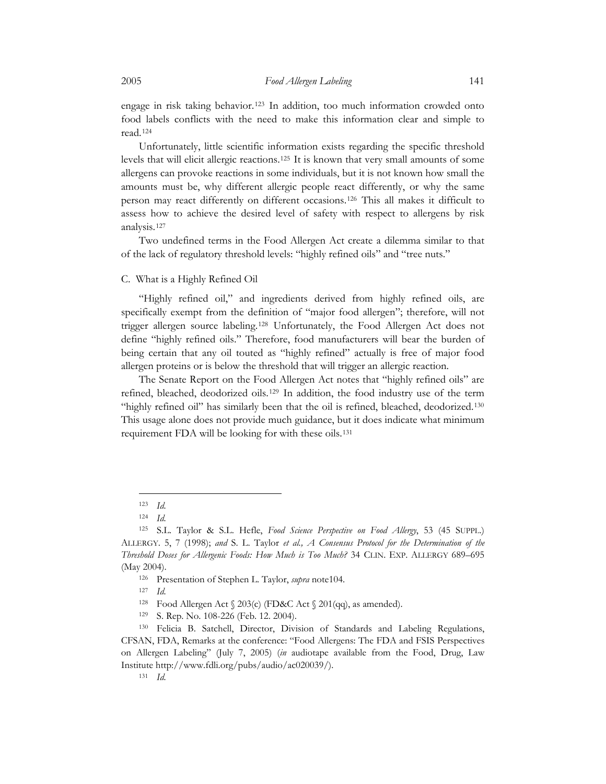<span id="page-16-0"></span>engage in risk taking behavior.[123](#page-16-1) In addition, too much information crowded onto food labels conflicts with the need to make this information clear and simple to read.[124](#page-16-2)

Unfortunately, little scientific information exists regarding the specific threshold levels that will elicit allergic reactions.[125](#page-16-3) It is known that very small amounts of some allergens can provoke reactions in some individuals, but it is not known how small the amounts must be, why different allergic people react differently, or why the same person may react differently on different occasions.[126](#page-16-4) This all makes it difficult to assess how to achieve the desired level of safety with respect to allergens by risk analysis.[127](#page-16-5)

Two undefined terms in the Food Allergen Act create a dilemma similar to that of the lack of regulatory threshold levels: "highly refined oils" and "tree nuts."

### C. What is a Highly Refined Oil

"Highly refined oil," and ingredients derived from highly refined oils, are specifically exempt from the definition of "major food allergen"; therefore, will not trigger allergen source labeling.[128](#page-16-6) Unfortunately, the Food Allergen Act does not define "highly refined oils." Therefore, food manufacturers will bear the burden of being certain that any oil touted as "highly refined" actually is free of major food allergen proteins or is below the threshold that will trigger an allergic reaction.

The Senate Report on the Food Allergen Act notes that "highly refined oils" are refined, bleached, deodorized oils.[129](#page-16-7) In addition, the food industry use of the term "highly refined oil" has similarly been that the oil is refined, bleached, deodorized.[130](#page-16-8) This usage alone does not provide much guidance, but it does indicate what minimum requirement FDA will be looking for with these oils.[131](#page-16-9)

<sup>123</sup> *Id.*

<sup>124</sup> *Id.*

<span id="page-16-3"></span><span id="page-16-2"></span><span id="page-16-1"></span><sup>125</sup> S.L. Taylor & S.L. Hefle, *Food Science Perspective on Food Allergy*, 53 (45 SUPPL.) ALLERGY. 5, 7 (1998); *and* S. L. Taylor *et al., A Consensus Protocol for the Determination of the Threshold Doses for Allergenic Foods: How Much is Too Much?* 34 CLIN. EXP. ALLERGY 689–695

<span id="page-16-5"></span><span id="page-16-4"></span><sup>(</sup>May 2004). 126 Presentation of Stephen L. Taylor, *supra* note104. 127 *Id.*

<sup>128</sup> Food Allergen Act § 203(c) (FD&C Act § 201(qq), as amended). 129 S. Rep. No. 108-226 (Feb. 12. 2004).

<span id="page-16-9"></span><span id="page-16-8"></span><span id="page-16-7"></span><span id="page-16-6"></span><sup>130</sup> Felicia B. Satchell, Director, Division of Standards and Labeling Regulations, CFSAN, FDA, Remarks at the conference: "Food Allergens: The FDA and FSIS Perspectives on Allergen Labeling" (July 7, 2005) (*in* audiotape available from the Food, Drug, Law Institute http://www.fdli.org/pubs/audio/ac020039/). 131 *Id.*